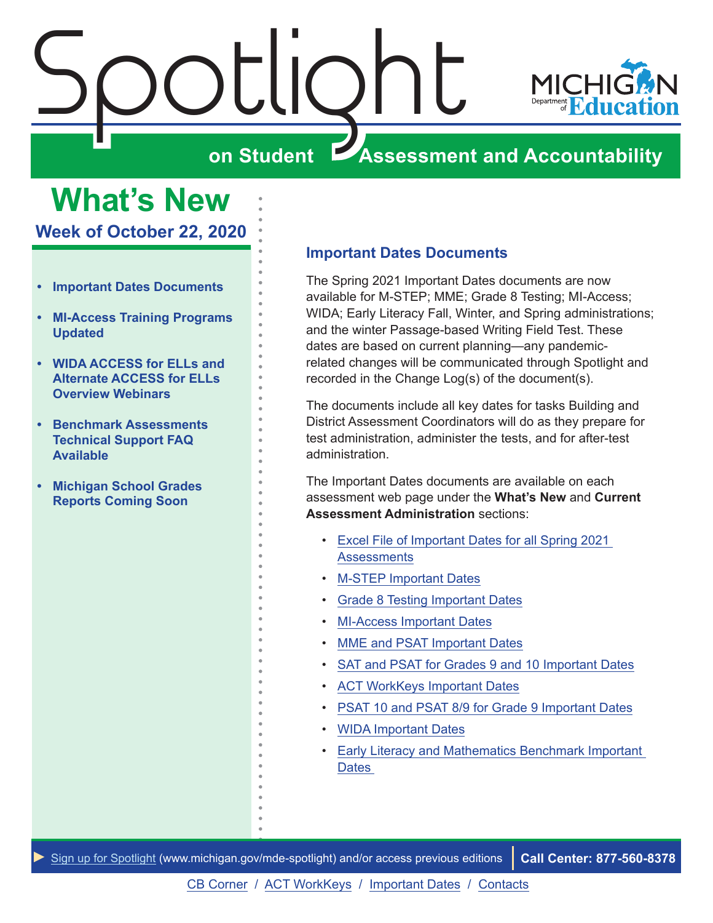<span id="page-0-0"></span>

**What's New Week of October 22, 2020**

- **• Important Dates Documents**
- **• [MI-Access Training Programs](#page-1-0)  [Updated](#page-1-0)**
- **• [WIDA ACCESS for ELLs and](#page-1-0)  [Alternate ACCESS for ELLs](#page-1-0)  [Overview Webinars](#page-1-0)**
- **• [Benchmark Assessments](#page-2-0)  [Technical Support FAQ](#page-2-0)  [Available](#page-2-0)**
- **• [Michigan School Grades](#page-2-0)  [Reports Coming Soon](#page-2-0)**

## **Important Dates Documents**

The Spring 2021 Important Dates documents are now available for M-STEP; MME; Grade 8 Testing; MI-Access; WIDA; Early Literacy Fall, Winter, and Spring administrations; and the winter Passage-based Writing Field Test. These dates are based on current planning—any pandemicrelated changes will be communicated through Spotlight and recorded in the Change Log(s) of the document(s).

The documents include all key dates for tasks Building and District Assessment Coordinators will do as they prepare for test administration, administer the tests, and for after-test administration.

The Important Dates documents are available on each assessment web page under the **What's New** and **Current Assessment Administration** sections:

- [Excel File of Important Dates for all Spring 2021](https://www.michigan.gov/documents/mde/S20_Important_Dates_web_668652_7.xlsx)  **[Assessments](https://www.michigan.gov/documents/mde/S20_Important_Dates_web_668652_7.xlsx)**
- [M-STEP Important Dates](https://www.michigan.gov/documents/mde/M-STEP_List_of_Important_Dates_634788_7.pdf)
- [Grade 8 Testing Important Dates](https://www.michigan.gov/documents/mde/Grade_8_List_of_Important_Dates_634813_7.pdf)
- [MI-Access Important Dates](https://www.michigan.gov/documents/mde/MI-Access_List_of_Important_Dates_634789_7.pdf)
- [MME and PSAT Important Dates](https://www.michigan.gov/documents/mde/MME_List_of_Important_Dates_634790_7.pdf)
- [SAT and PSAT for Grades 9 and 10 Important Dates](https://www.michigan.gov/documents/mde/SAT_and_PSAT_for_Grades_9_and_10_list_of_Important_Dates_705859_7.pdf)
- [ACT WorkKeys Important Dates](https://www.michigan.gov/documents/mde/ACT_WorkKeys_list_of_Important_Dates_705858_7.pdf)
- [PSAT 10 and PSAT 8/9 for Grade 9 Important Dates](https://www.michigan.gov/documents/mde/PSAT_for_grades_9_and_10_List_of_Important_Dates_668760_7.pdf)
- [WIDA Important Dates](https://www.michigan.gov/documents/mde/WIDA_List_of_Important_Dates_634791_7.pdf)
- [Early Literacy and Mathematics Benchmark Important](https://www.michigan.gov/documents/mde/K-2_Testing_Schedule_624389_7.pdf)  **Dates**

*►* [Sign up for Spotlight](https://public.govdelivery.com/accounts/MIMDE/subscriber/new) ([www.michigan.gov/mde](www.michigan.gov/mde-spotlight)-spotlight) and/or access previous editions **Call Center: 877-560-8378**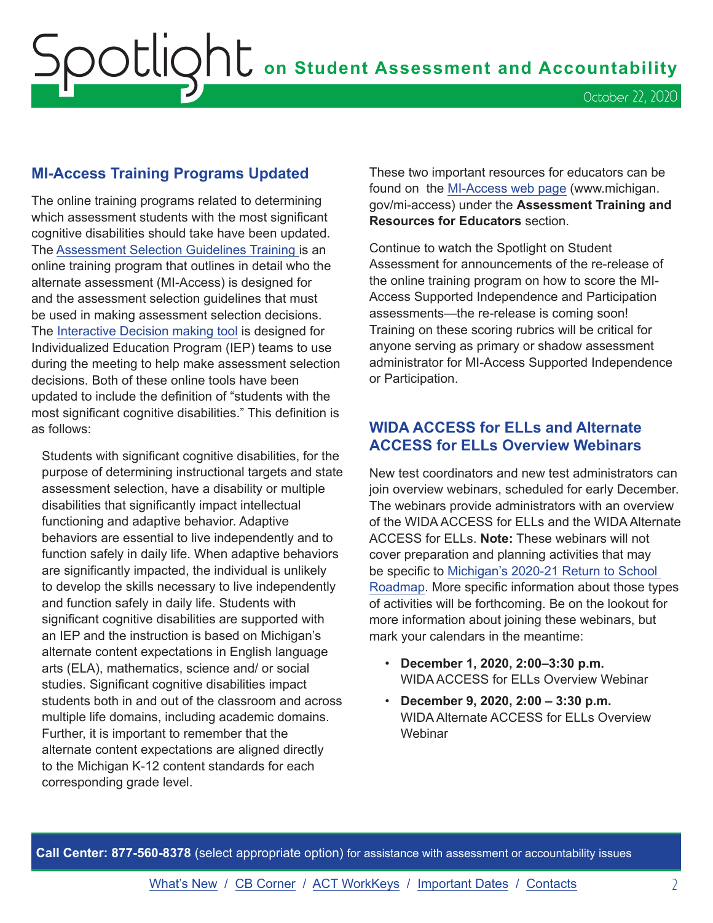## <span id="page-1-0"></span>**MI-Access Training Programs Updated**

The online training programs related to determining which assessment students with the most significant cognitive disabilities should take have been updated. The [Assessment Selection Guidelines Training i](https://mdoe.state.mi.us/mdedocuments/AssessmentSelectionGuidelinesTraining/index.html)s an online training program that outlines in detail who the alternate assessment (MI-Access) is designed for and the assessment selection guidelines that must be used in making assessment selection decisions. The [Interactive Decision making tool](https://mdoe.state.mi.us/MDEDocuments/InteractiveDecision-MakingTool/index.html) is designed for Individualized Education Program (IEP) teams to use during the meeting to help make assessment selection decisions. Both of these online tools have been updated to include the definition of "students with the most significant cognitive disabilities." This definition is as follows:

Students with significant cognitive disabilities, for the purpose of determining instructional targets and state assessment selection, have a disability or multiple disabilities that significantly impact intellectual functioning and adaptive behavior. Adaptive behaviors are essential to live independently and to function safely in daily life. When adaptive behaviors are significantly impacted, the individual is unlikely to develop the skills necessary to live independently and function safely in daily life. Students with significant cognitive disabilities are supported with an IEP and the instruction is based on Michigan's alternate content expectations in English language arts (ELA), mathematics, science and/ or social studies. Significant cognitive disabilities impact students both in and out of the classroom and across multiple life domains, including academic domains. Further, it is important to remember that the alternate content expectations are aligned directly to the Michigan K-12 content standards for each corresponding grade level.

These two important resources for educators can be found on the [MI-Access web page](http://www.michigan.gov/mi-access) (www.michigan. gov/mi-access) under the **Assessment Training and Resources for Educators** section.

Continue to watch the Spotlight on Student Assessment for announcements of the re-release of the online training program on how to score the MI-Access Supported Independence and Participation assessments—the re-release is coming soon! Training on these scoring rubrics will be critical for anyone serving as primary or shadow assessment administrator for MI-Access Supported Independence or Participation.

## **WIDA ACCESS for ELLs and Alternate ACCESS for ELLs Overview Webinars**

New test coordinators and new test administrators can join overview webinars, scheduled for early December. The webinars provide administrators with an overview of the WIDA ACCESS for ELLs and the WIDA Alternate ACCESS for ELLs. **Note:** These webinars will not cover preparation and planning activities that may be specific to [Michigan's 2020-21 Return to School](https://www.michigan.gov/documents/whitmer/MI_Safe_Schools_Roadmap_FINAL_695392_7.pdf)  [Roadmap.](https://www.michigan.gov/documents/whitmer/MI_Safe_Schools_Roadmap_FINAL_695392_7.pdf) More specific information about those types of activities will be forthcoming. Be on the lookout for more information about joining these webinars, but mark your calendars in the meantime:

- **December 1, 2020, 2:00–3:30 p.m.** WIDA ACCESS for ELLs Overview Webinar
- **December 9, 2020, 2:00 3:30 p.m.**  WIDA Alternate ACCESS for ELLs Overview **Webinar**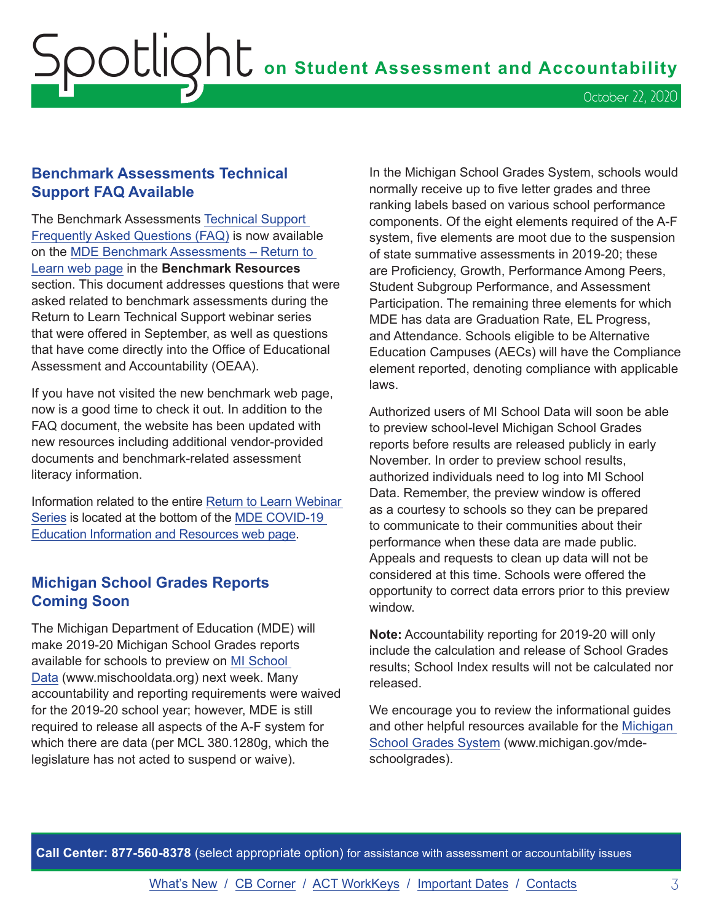# <span id="page-2-0"></span> ${\sf SOL}$

## **Benchmark Assessments Technical Support FAQ Available**

The Benchmark Assessments [Technical Support](https://www.michigan.gov/documents/mde/Benchmark_Assessments_Technical_Support_FAQ_705807_7.pdf)  [Frequently Asked Questions \(FAQ\)](https://www.michigan.gov/documents/mde/Benchmark_Assessments_Technical_Support_FAQ_705807_7.pdf) is now available on the [MDE Benchmark Assessments – Return to](http://www.michigan.gov/mde-benchmarkassessments)  [Learn web page](http://www.michigan.gov/mde-benchmarkassessments) in the **Benchmark Resources** section. This document addresses questions that were asked related to benchmark assessments during the Return to Learn Technical Support webinar series that were offered in September, as well as questions that have come directly into the Office of Educational Assessment and Accountability (OEAA).

If you have not visited the new benchmark web page, now is a good time to check it out. In addition to the FAQ document, the website has been updated with new resources including additional vendor-provided documents and benchmark-related assessment literacy information.

Information related to the entire [Return to Learn Webinar](https://www.michigan.gov/mde/0,4615,7-140-37818_53456-538648--,00.html)  [Series](https://www.michigan.gov/mde/0,4615,7-140-37818_53456-538648--,00.html) is located at the bottom of the [MDE COVID-19](https://www.michigan.gov/mde/0,4615,7-140-37818_53456---,00.html)  [Education Information and Resources web page](https://www.michigan.gov/mde/0,4615,7-140-37818_53456---,00.html).

## **Michigan School Grades Reports Coming Soon**

The Michigan Department of Education (MDE) will make 2019-20 Michigan School Grades reports available for schools to preview on [MI School](http://www.mischooldata.org)  [Data](http://www.mischooldata.org) (www.mischooldata.org) next week. Many accountability and reporting requirements were waived for the 2019-20 school year; however, MDE is still required to release all aspects of the A-F system for which there are data (per MCL 380.1280g, which the legislature has not acted to suspend or waive).

In the Michigan School Grades System, schools would normally receive up to five letter grades and three ranking labels based on various school performance components. Of the eight elements required of the A-F system, five elements are moot due to the suspension of state summative assessments in 2019-20; these are Proficiency, Growth, Performance Among Peers, Student Subgroup Performance, and Assessment Participation. The remaining three elements for which MDE has data are Graduation Rate, EL Progress, and Attendance. Schools eligible to be Alternative Education Campuses (AECs) will have the Compliance element reported, denoting compliance with applicable laws.

Authorized users of MI School Data will soon be able to preview school-level Michigan School Grades reports before results are released publicly in early November. In order to preview school results, authorized individuals need to log into MI School Data. Remember, the preview window is offered as a courtesy to schools so they can be prepared to communicate to their communities about their performance when these data are made public. Appeals and requests to clean up data will not be considered at this time. Schools were offered the opportunity to correct data errors prior to this preview window.

**Note:** Accountability reporting for 2019-20 will only include the calculation and release of School Grades results; School Index results will not be calculated nor released.

We encourage you to review the informational guides and other helpful resources available for the [Michigan](http://www.michigan.gov/mde-schoolgrades)  [School Grades System](http://www.michigan.gov/mde-schoolgrades) (www.michigan.gov/mdeschoolgrades).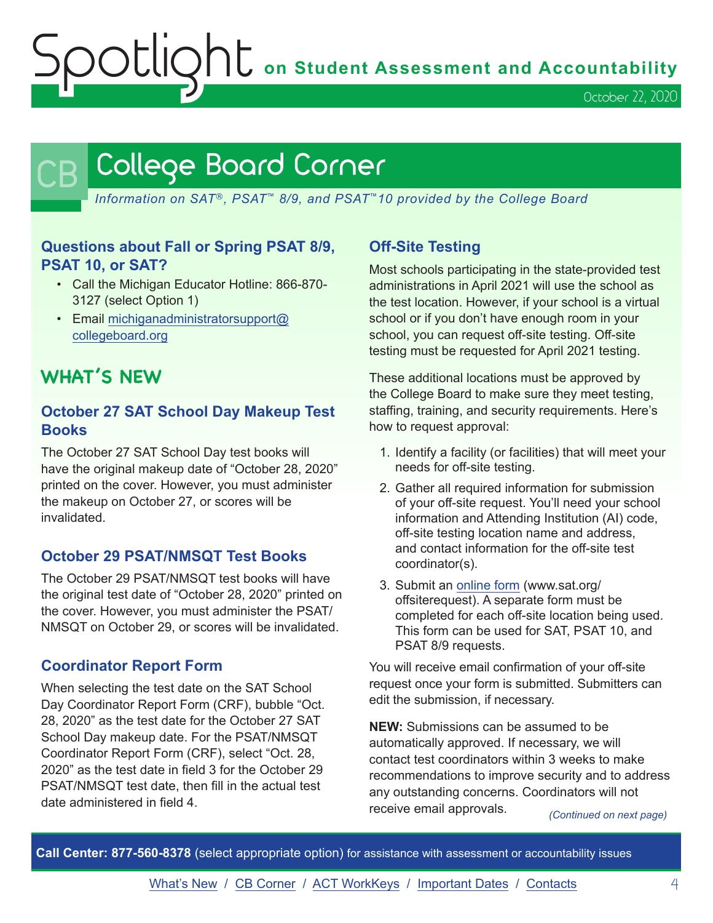Spotlight **on Student Assessment and Accountability**

October 22, 2020

## <span id="page-3-0"></span>College Board Corner

*Information on SAT*®*, PSAT*™ *8/9, and PSAT*™*10 provided by the College Board*

## **Questions about Fall or Spring PSAT 8/9, PSAT 10, or SAT?**

- Call the Michigan Educator Hotline: 866-870- 3127 (select Option 1)
- Email [michiganadministratorsupport@](mailto:michiganadministratorsupport%40collegeboard.org?subject=) [collegeboard.org](mailto:michiganadministratorsupport%40collegeboard.org?subject=)

## **WHAT'S NEW**

## **October 27 SAT School Day Makeup Test Books**

The October 27 SAT School Day test books will have the original makeup date of "October 28, 2020" printed on the cover. However, you must administer the makeup on October 27, or scores will be invalidated.

## **October 29 PSAT/NMSQT Test Books**

The October 29 PSAT/NMSQT test books will have the original test date of "October 28, 2020" printed on the cover. However, you must administer the PSAT/ NMSQT on October 29, or scores will be invalidated.

## **Coordinator Report Form**

When selecting the test date on the SAT School Day Coordinator Report Form (CRF), bubble "Oct. 28, 2020" as the test date for the October 27 SAT School Day makeup date. For the PSAT/NMSQT Coordinator Report Form (CRF), select "Oct. 28, 2020" as the test date in field 3 for the October 29 PSAT/NMSQT test date, then fill in the actual test date administered in field 4.

## **Off-Site Testing**

Most schools participating in the state-provided test administrations in April 2021 will use the school as the test location. However, if your school is a virtual school or if you don't have enough room in your school, you can request off-site testing. Off-site testing must be requested for April 2021 testing.

These additional locations must be approved by the College Board to make sure they meet testing, staffing, training, and security requirements. Here's how to request approval:

- 1. Identify a facility (or facilities) that will meet your needs for off-site testing.
- 2. Gather all required information for submission of your off-site request. You'll need your school information and Attending Institution (AI) code, off-site testing location name and address, and contact information for the off-site test coordinator(s).
- 3. Submit an [online form](http://www.sat.org/offsiterequest) (www.sat.org/ offsiterequest). A separate form must be completed for each off-site location being used. This form can be used for SAT, PSAT 10, and PSAT 8/9 requests.

You will receive email confirmation of your off-site request once your form is submitted. Submitters can edit the submission, if necessary.

*(Continued on next page)* **NEW:** Submissions can be assumed to be automatically approved. If necessary, we will contact test coordinators within 3 weeks to make recommendations to improve security and to address any outstanding concerns. Coordinators will not receive email approvals.

**Call Center: 877-560-8378** (select appropriate option) for assistance with assessment or accountability issues

[What's New](#page-0-0) / [CB Corner](#page-3-0) / [ACT WorkKeys](#page-6-0) / [Important Dates](#page-7-0) / [Contacts](#page-8-0) 4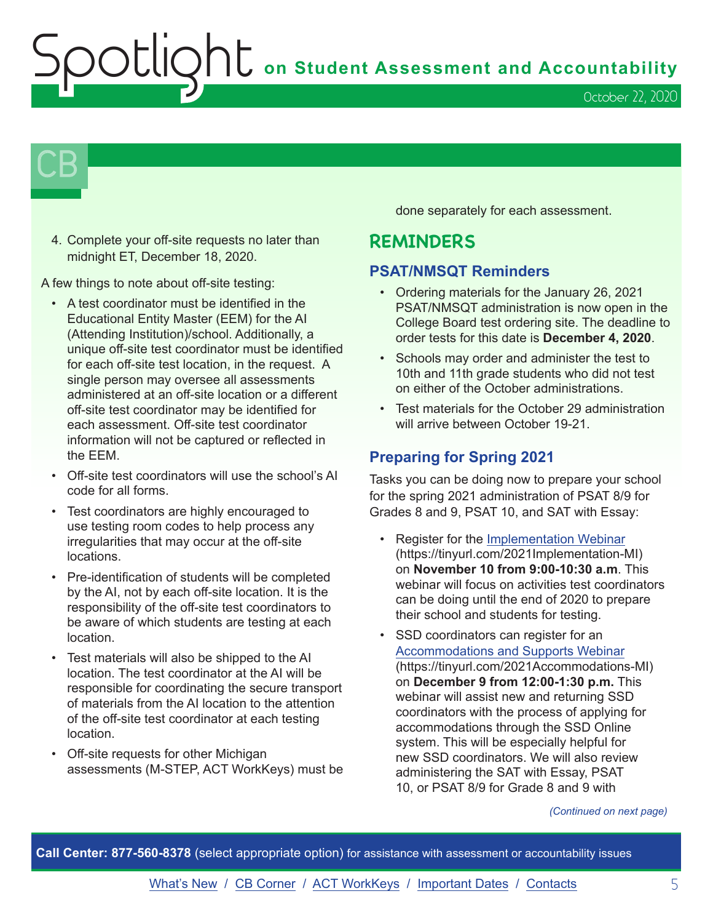$\bigcap$  on Student Assessment and Accountability

October 22, 2020

## $\mathsf{CB}\,\mathsf{I}$

4. Complete your off-site requests no later than midnight ET, December 18, 2020.

A few things to note about off-site testing:

- A test coordinator must be identified in the Educational Entity Master (EEM) for the AI (Attending Institution)/school. Additionally, a unique off-site test coordinator must be identified for each off-site test location, in the request. A single person may oversee all assessments administered at an off-site location or a different off-site test coordinator may be identified for each assessment. Off-site test coordinator information will not be captured or reflected in the EEM.
- Off-site test coordinators will use the school's AI code for all forms.
- Test coordinators are highly encouraged to use testing room codes to help process any irregularities that may occur at the off-site locations.
- Pre-identification of students will be completed by the AI, not by each off-site location. It is the responsibility of the off-site test coordinators to be aware of which students are testing at each location.
- Test materials will also be shipped to the AI location. The test coordinator at the AI will be responsible for coordinating the secure transport of materials from the AI location to the attention of the off-site test coordinator at each testing location.
- Off-site requests for other Michigan assessments (M-STEP, ACT WorkKeys) must be

done separately for each assessment.

## **REMINDERS**

## **PSAT/NMSQT Reminders**

- Ordering materials for the January 26, 2021 PSAT/NMSQT administration is now open in the College Board test ordering site. The deadline to order tests for this date is **December 4, 2020**.
- Schools may order and administer the test to 10th and 11th grade students who did not test on either of the October administrations.
- Test materials for the October 29 administration will arrive between October 19-21.

## **Preparing for Spring 2021**

Tasks you can be doing now to prepare your school for the spring 2021 administration of PSAT 8/9 for Grades 8 and 9, PSAT 10, and SAT with Essay:

- Register for the [Implementation Webinar](https://tinyurl.com/2021Implementation-MI) (https://tinyurl.com/2021Implementation-MI) on **November 10 from 9:00-10:30 a.m**. This webinar will focus on activities test coordinators can be doing until the end of 2020 to prepare their school and students for testing.
- SSD coordinators can register for an [Accommodations and Supports Webinar](https://tinyurl.com/2021Accommodations-MI) (https://tinyurl.com/2021Accommodations-MI) on **December 9 from 12:00-1:30 p.m.** This webinar will assist new and returning SSD coordinators with the process of applying for accommodations through the SSD Online system. This will be especially helpful for new SSD coordinators. We will also review administering the SAT with Essay, PSAT 10, or PSAT 8/9 for Grade 8 and 9 with

#### *(Continued on next page)*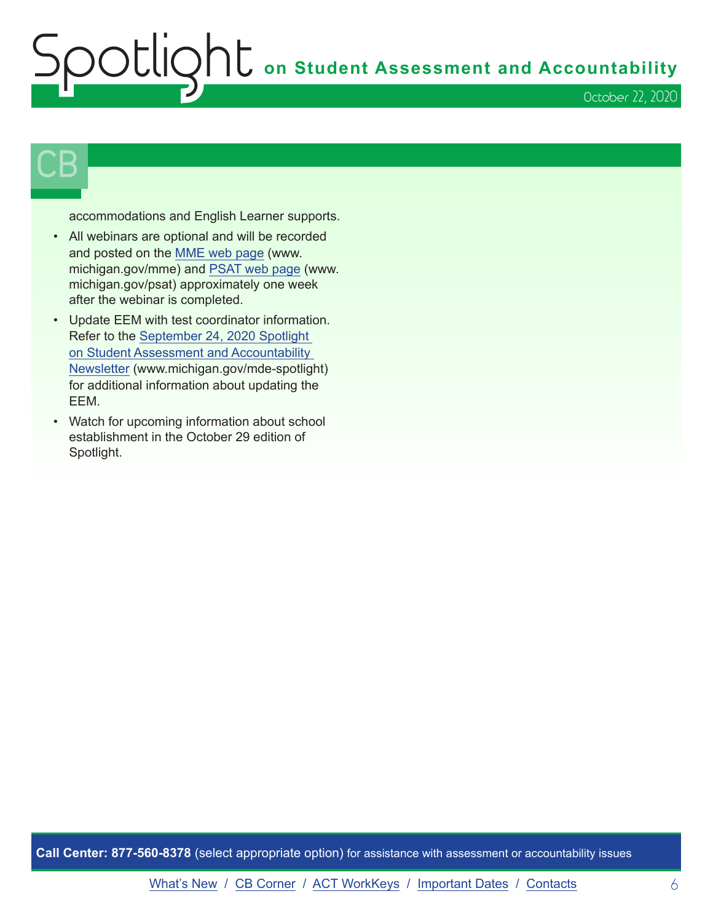## **Subsetlington Student Assessment and Accountability** October 22, 2020

## $\mathsf{CB}\,\mathsf{I}$

accommodations and English Learner supports.

- All webinars are optional and will be recorded and posted on the [MME web page](www.michigan.gov/mme) (www. michigan.gov/mme) and [PSAT web page](http://www.michigan.gov/psat) (www. michigan.gov/psat) approximately one week after the webinar is completed.
- Update EEM with test coordinator information. Refer to the [September 24, 2020 Spotlight](https://www.michigan.gov/documents/mde/Spotlight_9-24-20_703294_7.pdf)  [on Student Assessment and Accountability](https://www.michigan.gov/documents/mde/Spotlight_9-24-20_703294_7.pdf)  [Newsletter](https://www.michigan.gov/documents/mde/Spotlight_9-24-20_703294_7.pdf) (www.michigan.gov/mde-spotlight) for additional information about updating the EEM.
- Watch for upcoming information about school establishment in the October 29 edition of Spotlight.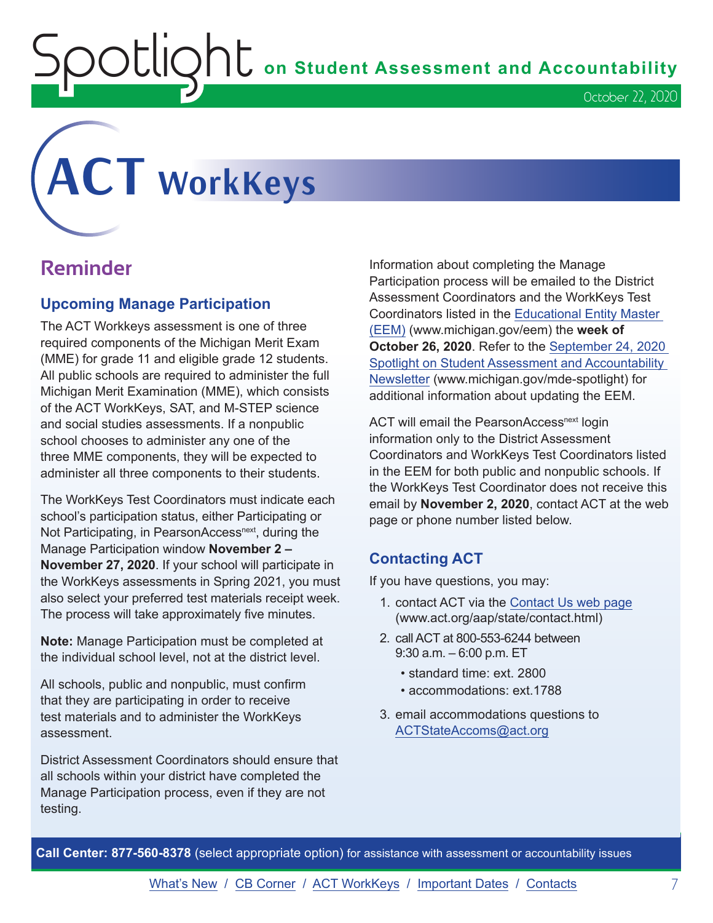OUIQhL on Student Assessment and Accountability

# <span id="page-6-0"></span>**ACT WorkKeys**

## **Reminder**

## **Upcoming Manage Participation**

The ACT Workkeys assessment is one of three required components of the Michigan Merit Exam (MME) for grade 11 and eligible grade 12 students. All public schools are required to administer the full Michigan Merit Examination (MME), which consists of the ACT WorkKeys, SAT, and M-STEP science and social studies assessments. If a nonpublic school chooses to administer any one of the three MME components, they will be expected to administer all three components to their students.

The WorkKeys Test Coordinators must indicate each school's participation status, either Participating or Not Participating, in PearsonAccess<sup>next</sup>, during the Manage Participation window **November 2 – November 27, 2020**. If your school will participate in the WorkKeys assessments in Spring 2021, you must also select your preferred test materials receipt week. The process will take approximately five minutes.

**Note:** Manage Participation must be completed at the individual school level, not at the district level.

All schools, public and nonpublic, must confirm that they are participating in order to receive test materials and to administer the WorkKeys assessment.

District Assessment Coordinators should ensure that all schools within your district have completed the Manage Participation process, even if they are not testing.

Information about completing the Manage Participation process will be emailed to the District Assessment Coordinators and the WorkKeys Test Coordinators listed in the [Educational Entity Master](www.michigan.gov/EEM)  [\(EEM\)](www.michigan.gov/EEM) (www.michigan.gov/eem) the **week of October 26, 2020**. Refer to the [September 24, 2020](https://www.michigan.gov/documents/mde/Spotlight_9-24-20_703294_7.pdf)  [Spotlight on Student Assessment and Accountability](https://www.michigan.gov/documents/mde/Spotlight_9-24-20_703294_7.pdf)  [Newsletter](https://www.michigan.gov/documents/mde/Spotlight_9-24-20_703294_7.pdf) (www.michigan.gov/mde-spotlight) for additional information about updating the EEM.

ACT will email the PearsonAccess<sup>next</sup> login information only to the District Assessment Coordinators and WorkKeys Test Coordinators listed in the EEM for both public and nonpublic schools. If the WorkKeys Test Coordinator does not receive this email by **November 2, 2020**, contact ACT at the web page or phone number listed below.

## **Contacting ACT**

If you have questions, you may:

- 1. contact ACT via the [Contact Us web page](http://www.act.org/aap/state/contact.html) [\(www.act.org/aap/state/contact.html\)](https://www.act.org/aap/state/contact.html)
- 2. call ACT at 800-553-6244 between 9:30 a.m. – 6:00 p.m. ET
	- standard time: ext. 2800
	- accommodations: ext. 1788
- 3. email accommodations questions to [ACTStateAccoms@act.org](mailto:ACTStateAccoms%40act.org?subject=)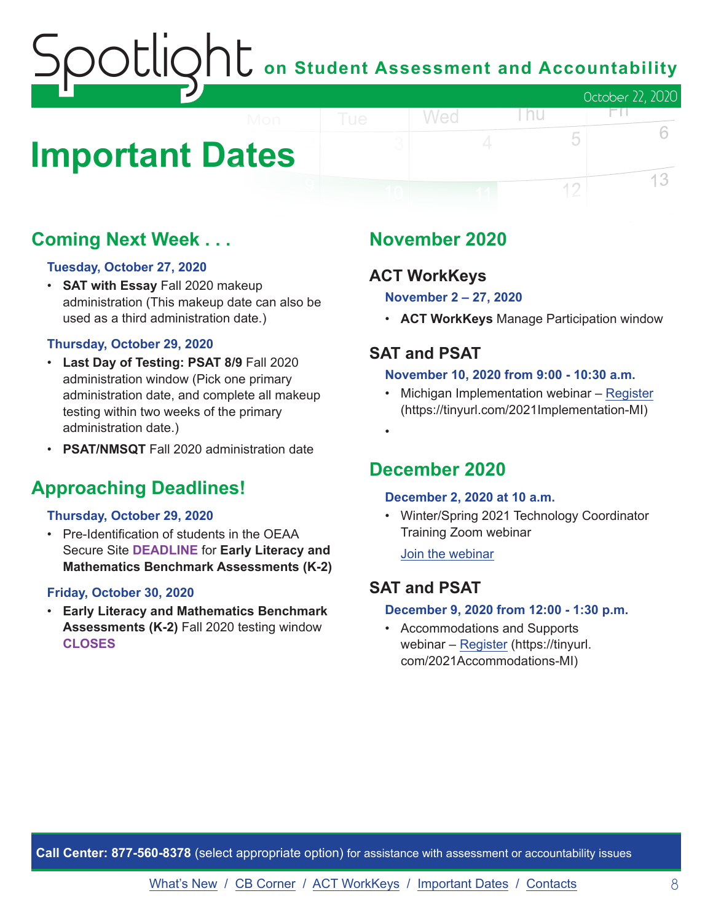## on Student Assessment and Accountability October 22, 2020 FП.

## <span id="page-7-0"></span>**Important Dates**

## **Coming Next Week . . .**

## **Tuesday, October 27, 2020**

• **SAT with Essay** Fall 2020 makeup administration (This makeup date can also be used as a third administration date.)

## **Thursday, October 29, 2020**

- **Last Day of Testing: PSAT 8/9** Fall 2020 administration window (Pick one primary administration date, and complete all makeup testing within two weeks of the primary administration date.)
- **PSAT/NMSQT** Fall 2020 administration date

## **Approaching Deadlines!**

## **Thursday, October 29, 2020**

• Pre-Identification of students in the OEAA Secure Site **DEADLINE** for **Early Literacy and Mathematics Benchmark Assessments (K-2)**

## **Friday, October 30, 2020**

• **Early Literacy and Mathematics Benchmark Assessments (K-2)** Fall 2020 testing window **CLOSES**

## **November 2020**

Wed

## **ACT WorkKeys**

**November 2 – 27, 2020**

• **ACT WorkKeys** Manage Participation window

l nu

5

12

6

13

## **SAT and PSAT**

•

#### **November 10, 2020 from 9:00 - 10:30 a.m.**

• Michigan Implementation webinar – [Register](https://tinyurl.com/2021Implementation-MI) (https://tinyurl.com/2021Implementation-MI)

## **December 2020**

## **December 2, 2020 at 10 a.m.**

• Winter/Spring 2021 Technology Coordinator Training Zoom webinar

[Join the webinar](https://datarecognitioncorp.zoom.us/j/99441419689)

## **SAT and PSAT**

## **December 9, 2020 from 12:00 - 1:30 p.m.**

• Accommodations and Supports webinar – [Register](https://tinyurl.com/2021Accommodations-MI) (https://tinyurl. com/2021Accommodations-MI)